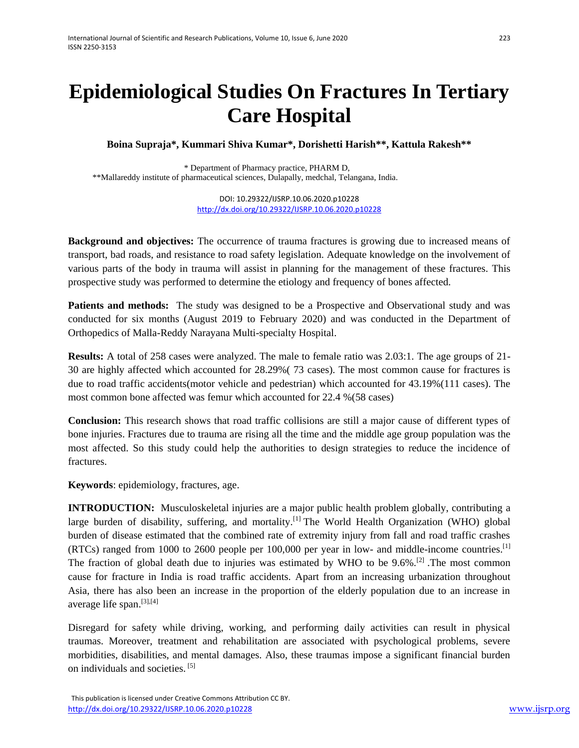## **Epidemiological Studies On Fractures In Tertiary Care Hospital**

**Boina Supraja\*, Kummari Shiva Kumar\*, Dorishetti Harish\*\*, Kattula Rakesh\*\***

\* Department of Pharmacy practice, PHARM D, \*\*Mallareddy institute of pharmaceutical sciences, Dulapally, medchal, Telangana, India.

> DOI: 10.29322/IJSRP.10.06.2020.p10228 <http://dx.doi.org/10.29322/IJSRP.10.06.2020.p10228>

**Background and objectives:** The occurrence of trauma fractures is growing due to increased means of transport, bad roads, and resistance to road safety legislation. Adequate knowledge on the involvement of various parts of the body in trauma will assist in planning for the management of these fractures. This prospective study was performed to determine the etiology and frequency of bones affected.

**Patients and methods:** The study was designed to be a Prospective and Observational study and was conducted for six months (August 2019 to February 2020) and was conducted in the Department of Orthopedics of Malla-Reddy Narayana Multi-specialty Hospital.

**Results:** A total of 258 cases were analyzed. The male to female ratio was 2.03:1. The age groups of 21- 30 are highly affected which accounted for 28.29%( 73 cases). The most common cause for fractures is due to road traffic accidents(motor vehicle and pedestrian) which accounted for 43.19%(111 cases). The most common bone affected was femur which accounted for 22.4 %(58 cases)

**Conclusion:** This research shows that road traffic collisions are still a major cause of different types of bone injuries. Fractures due to trauma are rising all the time and the middle age group population was the most affected. So this study could help the authorities to design strategies to reduce the incidence of fractures.

**Keywords**: epidemiology, fractures, age.

**INTRODUCTION:** Musculoskeletal injuries are a major public health problem globally, contributing a large burden of disability, suffering, and mortality.<sup>[1]</sup> The World Health Organization (WHO) global burden of disease estimated that the combined rate of extremity injury from fall and road traffic crashes (RTCs) ranged from 1000 to 2600 people per 100,000 per year in low- and middle-income countries. [1] The fraction of global death due to injuries was estimated by WHO to be 9.6%.<sup>[2]</sup> The most common cause for fracture in India is road traffic accidents. Apart from an increasing urbanization throughout Asia, there has also been an increase in the proportion of the elderly population due to an increase in average life span.<sup>[3],[4]</sup>

Disregard for safety while driving, working, and performing daily activities can result in physical traumas. Moreover, treatment and rehabilitation are associated with psychological problems, severe morbidities, disabilities, and mental damages. Also, these traumas impose a significant financial burden on individuals and societies. [5]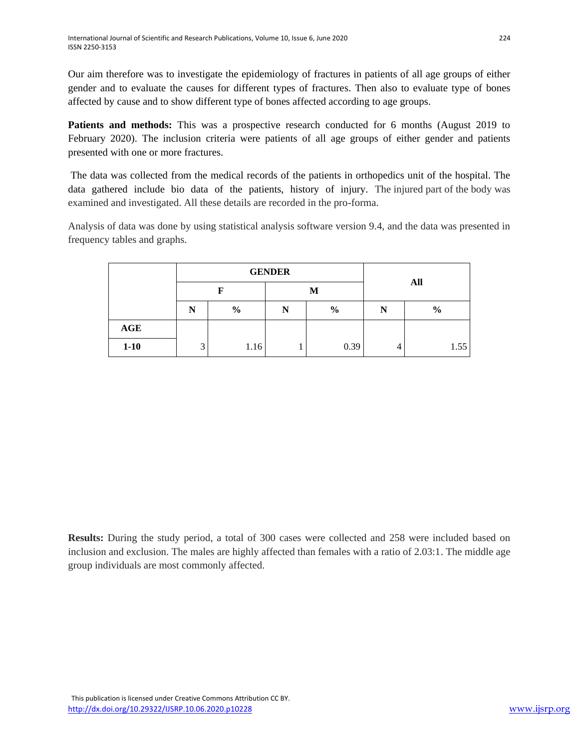Our aim therefore was to investigate the epidemiology of fractures in patients of all age groups of either gender and to evaluate the causes for different types of fractures. Then also to evaluate type of bones affected by cause and to show different type of bones affected according to age groups.

**Patients and methods:** This was a prospective research conducted for 6 months (August 2019 to February 2020). The inclusion criteria were patients of all age groups of either gender and patients presented with one or more fractures.

The data was collected from the medical records of the patients in orthopedics unit of the hospital. The data gathered include bio data of the patients, history of injury. The injured part of the body was examined and investigated. All these details are recorded in the pro-forma.

Analysis of data was done by using statistical analysis software version 9.4, and the data was presented in frequency tables and graphs.

|        |   | F             |                    | M    |   | All           |
|--------|---|---------------|--------------------|------|---|---------------|
|        | N | $\frac{0}{0}$ | $\frac{6}{9}$<br>N |      | N | $\frac{6}{9}$ |
| AGE    |   |               |                    |      |   |               |
| $1-10$ | 3 | 1.16          |                    | 0.39 | 4 | 1.55          |

**Results:** During the study period, a total of 300 cases were collected and 258 were included based on inclusion and exclusion. The males are highly affected than females with a ratio of 2.03:1. The middle age group individuals are most commonly affected.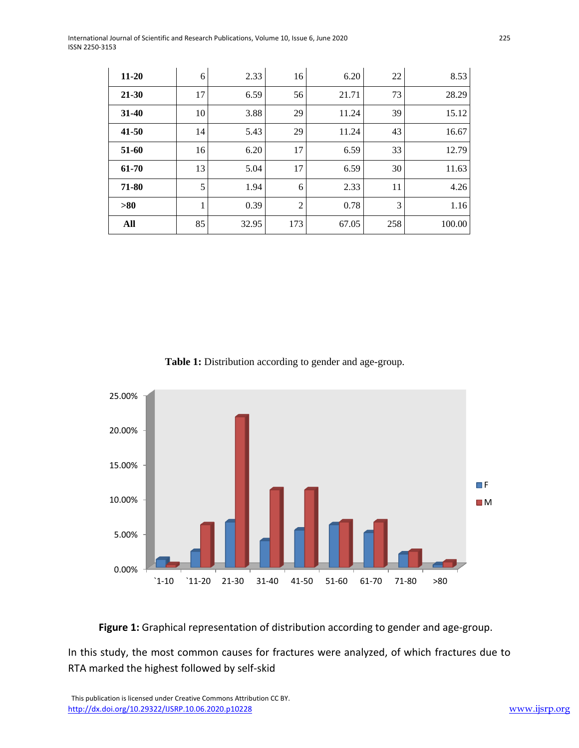International Journal of Scientific and Research Publications, Volume 10, Issue 6, June 2020 225 ISSN 2250-3153

| $11 - 20$ | 6  | 2.33  | 16             | 6.20  | 22  | 8.53   |
|-----------|----|-------|----------------|-------|-----|--------|
| $21 - 30$ | 17 | 6.59  | 56             | 21.71 | 73  | 28.29  |
| $31 - 40$ | 10 | 3.88  | 29             | 11.24 | 39  | 15.12  |
| $41 - 50$ | 14 | 5.43  | 29             | 11.24 | 43  | 16.67  |
| 51-60     | 16 | 6.20  | 17             | 6.59  | 33  | 12.79  |
| 61-70     | 13 | 5.04  | 17             | 6.59  | 30  | 11.63  |
| 71-80     | 5  | 1.94  | 6              | 2.33  | 11  | 4.26   |
| >80       |    | 0.39  | $\overline{2}$ | 0.78  | 3   | 1.16   |
| All       | 85 | 32.95 | 173            | 67.05 | 258 | 100.00 |

**Table 1:** Distribution according to gender and age-group.



 **Figure 1:** Graphical representation of distribution according to gender and age-group.

In this study, the most common causes for fractures were analyzed, of which fractures due to RTA marked the highest followed by self-skid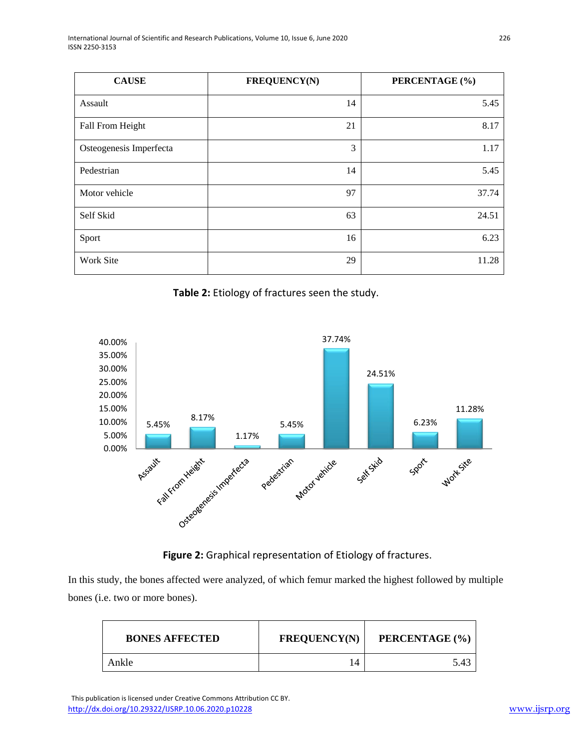| <b>CAUSE</b>            | <b>FREQUENCY(N)</b> | PERCENTAGE (%) |
|-------------------------|---------------------|----------------|
| Assault                 | 14                  | 5.45           |
| Fall From Height        | 21                  | 8.17           |
| Osteogenesis Imperfecta | 3                   | 1.17           |
| Pedestrian              | 14                  | 5.45           |
| Motor vehicle           | 97                  | 37.74          |
| Self Skid               | 63                  | 24.51          |
| Sport                   | 16                  | 6.23           |
| Work Site               | 29                  | 11.28          |

**Table 2:** Etiology of fractures seen the study.



**Figure 2:** Graphical representation of Etiology of fractures.

In this study, the bones affected were analyzed, of which femur marked the highest followed by multiple bones (i.e. two or more bones).

| <b>BONES AFFECTED</b> | <b>FREQUENCY(N)</b> | PERCENTAGE (%) |  |  |
|-----------------------|---------------------|----------------|--|--|
| Ankle                 |                     | 5.43           |  |  |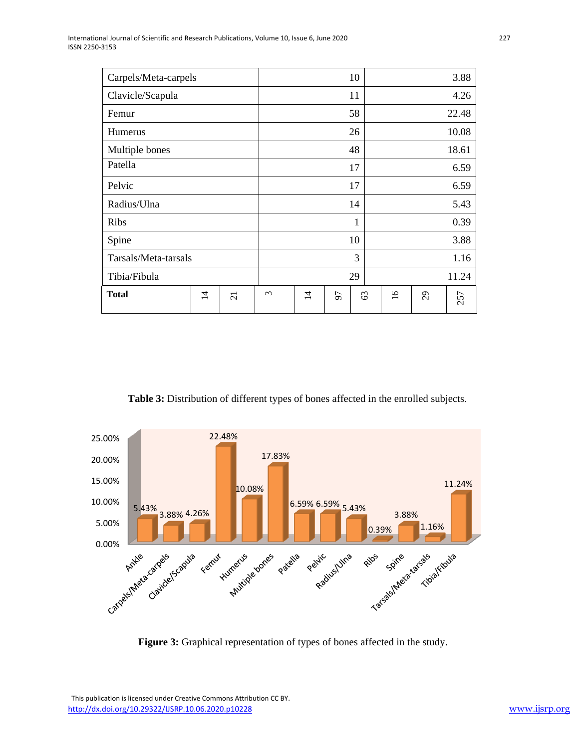| Carpels/Meta-carpels |                |                |          |   |       | 10   |                                     |                             |       |  |
|----------------------|----------------|----------------|----------|---|-------|------|-------------------------------------|-----------------------------|-------|--|
| Clavicle/Scapula     |                |                |          |   |       | 11   | 4.26                                |                             |       |  |
| Femur                |                |                |          |   |       | 58   | 22.48                               |                             |       |  |
| Humerus              |                |                |          |   |       | 26   |                                     |                             | 10.08 |  |
| Multiple bones       |                |                |          |   |       | 48   | 18.61                               |                             |       |  |
| Patella              |                |                |          |   |       | 17   | 6.59                                |                             |       |  |
| Pelvic               |                |                |          |   | 17    | 6.59 |                                     |                             |       |  |
| Radius/Ulna          |                |                |          |   |       | 14   | 5.43                                |                             |       |  |
| <b>Ribs</b>          |                |                |          |   |       | 1    |                                     |                             | 0.39  |  |
| Spine                |                |                |          |   | 10    |      |                                     | 3.88                        |       |  |
| Tarsals/Meta-tarsals |                | 3              |          |   |       |      | 1.16                                |                             |       |  |
| Tibia/Fibula         |                | 29             |          |   | 11.24 |      |                                     |                             |       |  |
| <b>Total</b>         | $\overline{4}$ | $\overline{c}$ | $\infty$ | 4 | 50    | 63   | $\circ$<br>$\overline{\phantom{0}}$ | $\mathcal{L}^{\mathcal{O}}$ | 257   |  |

 **Table 3:** Distribution of different types of bones affected in the enrolled subjects.



 **Figure 3:** Graphical representation of types of bones affected in the study.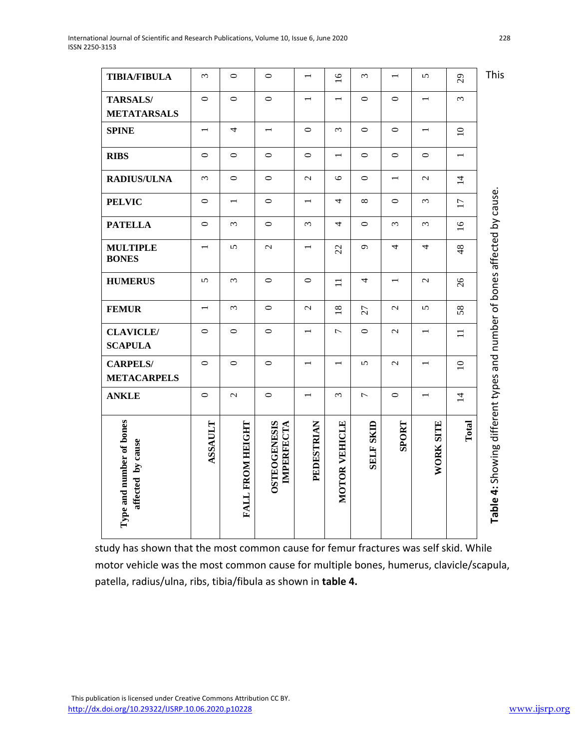| <b>TARSALS/</b><br><b>METATARSALS</b>            |                          |                          |                                   |                          | $\overline{16}$          | $\epsilon$       | $\overline{\phantom{0}}$ | $\sigma$                 | $\overline{29}$          |
|--------------------------------------------------|--------------------------|--------------------------|-----------------------------------|--------------------------|--------------------------|------------------|--------------------------|--------------------------|--------------------------|
|                                                  | $\circ$                  | $\circ$                  | $\circ$                           | $\overline{\phantom{0}}$ | $\overline{\phantom{0}}$ | $\circ$          | $\circ$                  | $\overline{\phantom{0}}$ | $\tilde{\epsilon}$       |
| <b>SPINE</b>                                     | $\overline{\phantom{0}}$ | 4                        | $\overline{\phantom{0}}$          | $\circ$                  | $\epsilon$               | $\circ$          | $\circ$                  | $\overline{\phantom{0}}$ | $\overline{10}$          |
| <b>RIBS</b>                                      | $\circ$                  | $\circ$                  | $\circ$                           | $\circ$                  | $\overline{\phantom{0}}$ | $\circ$          | $\circ$                  | $\circ$                  | $\overline{\phantom{0}}$ |
| <b>RADIUS/ULNA</b>                               | $\epsilon$               | $\circ$                  | $\circ$                           | $\mathcal{L}$            | $\circ$                  | $\circ$          | $\overline{\phantom{0}}$ | $\mathcal{L}$            | $\overline{4}$           |
| <b>PELVIC</b>                                    | $\circ$                  | $\overline{\phantom{0}}$ | $\circ$                           | $\overline{\phantom{0}}$ | 4                        | $\infty$         | $\circ$                  | $\epsilon$               | $\overline{17}$          |
| <b>PATELLA</b>                                   | $\circ$                  | $\omega$                 | $\circ$                           | $\omega$                 | 4                        | $\circ$          | $\omega$                 | $\epsilon$               | $\overline{16}$          |
| <b>MULTIPLE</b><br><b>BONES</b>                  | $\overline{\phantom{0}}$ | 5                        | $\mathcal{L}$                     | $\overline{\phantom{0}}$ | 22                       | $\sigma$         | 4                        | 4                        | $\frac{8}{3}$            |
| <b>HUMERUS</b>                                   | $\sigma$                 | $\epsilon$               | $\circ$                           | $\circ$                  | $\mathbf{1}$             | 4                | $\overline{\phantom{0}}$ | $\mathbf{C}$             | $\delta$                 |
| <b>FEMUR</b>                                     | $\overline{\phantom{0}}$ | $\epsilon$               | $\circ$                           | $\overline{\mathcal{L}}$ | $18\,$                   | 27               | $\mathcal{L}$            | $\sigma$                 | 58                       |
| <b>CLAVICLE/</b><br><b>SCAPULA</b>               | $\circ$                  | $\circ$                  | $\circ$                           | $\overline{\phantom{0}}$ | $\overline{\phantom{a}}$ | $\circ$          | $\mathcal{L}$            | $\overline{\phantom{0}}$ | $\equiv$                 |
| <b>CARPELS/</b><br><b>METACARPELS</b>            | $\circ$                  | $\circ$                  | $\circ$                           |                          | $\overline{\phantom{0}}$ | 5                | $\mathbf{C}$             | $\overline{\phantom{0}}$ | $\overline{10}$          |
| <b>ANKLE</b>                                     | $\circ$                  | $\overline{\mathcal{C}}$ | $\circ$                           | $\overline{\phantom{0}}$ | $\epsilon$               | $\overline{ }$   | $\circ$                  | $\overline{\phantom{0}}$ | $\overline{4}$           |
| number of bones<br>affected by cause<br>Type and | <b>ASSAULT</b>           | FROM HEIGHT<br>FALL      | <b>OSTEOGENESIS</b><br>IMPERFECTA | PEDESTRIAN               | <b>OTOR VEHICLE</b><br>ă | <b>SELF SKID</b> | <b>SPORT</b>             | <b>WORK SITE</b>         | Total                    |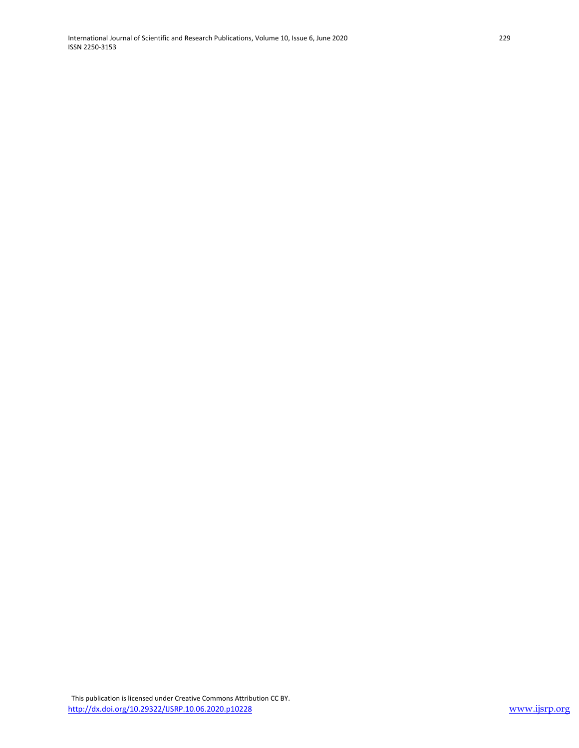International Journal of Scientific and Research Publications, Volume 10, Issue 6, June 2020 229 ISSN 2250-3153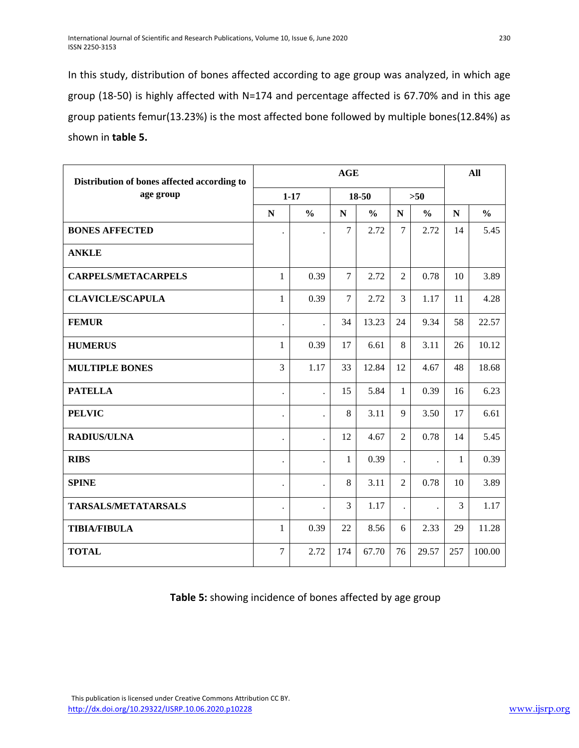In this study, distribution of bones affected according to age group was analyzed, in which age group (18-50) is highly affected with N=174 and percentage affected is 67.70% and in this age group patients femur(13.23%) is the most affected bone followed by multiple bones(12.84%) as shown in **table 5.**

| Distribution of bones affected according to |                      | All           |                |               |                      |                      |              |               |
|---------------------------------------------|----------------------|---------------|----------------|---------------|----------------------|----------------------|--------------|---------------|
| age group                                   |                      | $1 - 17$      |                | 18-50         |                      | $>50$                |              |               |
|                                             | N                    | $\frac{0}{0}$ | N              | $\frac{6}{6}$ | N                    | $\frac{0}{0}$        | $\mathbf N$  | $\frac{0}{0}$ |
| <b>BONES AFFECTED</b>                       | $\ddot{\phantom{0}}$ |               | $\overline{7}$ | 2.72          | $\overline{7}$       | 2.72                 | 14           | 5.45          |
| <b>ANKLE</b>                                |                      |               |                |               |                      |                      |              |               |
| <b>CARPELS/METACARPELS</b>                  | $\mathbf{1}$         | 0.39          | $\overline{7}$ | 2.72          | $\overline{2}$       | 0.78                 | 10           | 3.89          |
| <b>CLAVICLE/SCAPULA</b>                     | $\mathbf{1}$         | 0.39          | $\overline{7}$ | 2.72          | 3                    | 1.17                 | 11           | 4.28          |
| <b>FEMUR</b>                                | $\cdot$              |               | 34             | 13.23         | 24                   | 9.34                 | 58           | 22.57         |
| <b>HUMERUS</b>                              | 1                    | 0.39          | 17             | 6.61          | 8                    | 3.11                 | 26           | 10.12         |
| <b>MULTIPLE BONES</b>                       | 3                    | 1.17          | 33             | 12.84         | 12                   | 4.67                 | 48           | 18.68         |
| <b>PATELLA</b>                              | $\cdot$              |               | 15             | 5.84          | $\mathbf{1}$         | 0.39                 | 16           | 6.23          |
| <b>PELVIC</b>                               | $\ddot{\phantom{0}}$ |               | $\,8\,$        | 3.11          | 9                    | 3.50                 | 17           | 6.61          |
| <b>RADIUS/ULNA</b>                          | $\ddot{\phantom{a}}$ |               | 12             | 4.67          | $\overline{2}$       | 0.78                 | 14           | 5.45          |
| <b>RIBS</b>                                 | $\ddot{\phantom{0}}$ |               | $\mathbf{1}$   | 0.39          | $\cdot$              | $\cdot$              | $\mathbf{1}$ | 0.39          |
| <b>SPINE</b>                                | $\cdot$              |               | 8              | 3.11          | $\overline{2}$       | 0.78                 | 10           | 3.89          |
| <b>TARSALS/METATARSALS</b>                  | $\cdot$              |               | 3              | 1.17          | $\ddot{\phantom{0}}$ | $\ddot{\phantom{0}}$ | 3            | 1.17          |
| <b>TIBIA/FIBULA</b>                         | $\mathbf{1}$         | 0.39          | 22             | 8.56          | 6                    | 2.33                 | 29           | 11.28         |
| <b>TOTAL</b>                                | $\overline{7}$       | 2.72          | 174            | 67.70         | 76                   | 29.57                | 257          | 100.00        |

**Table 5:** showing incidence of bones affected by age group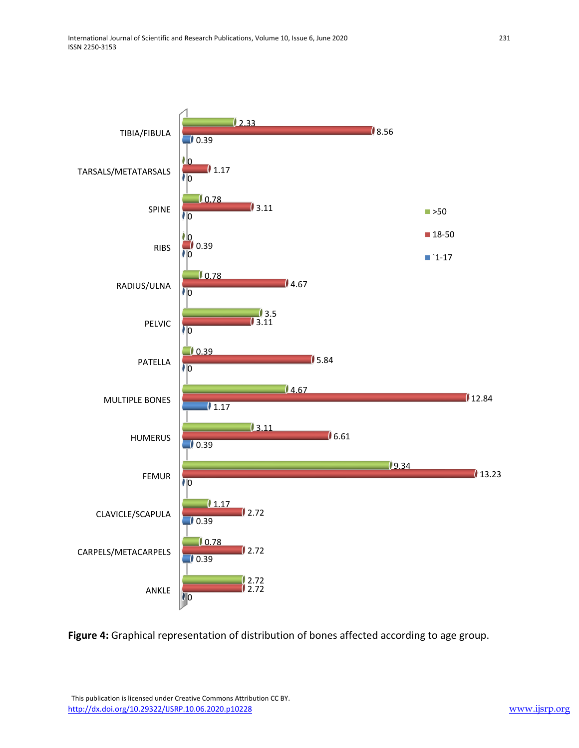

**Figure 4:** Graphical representation of distribution of bones affected according to age group.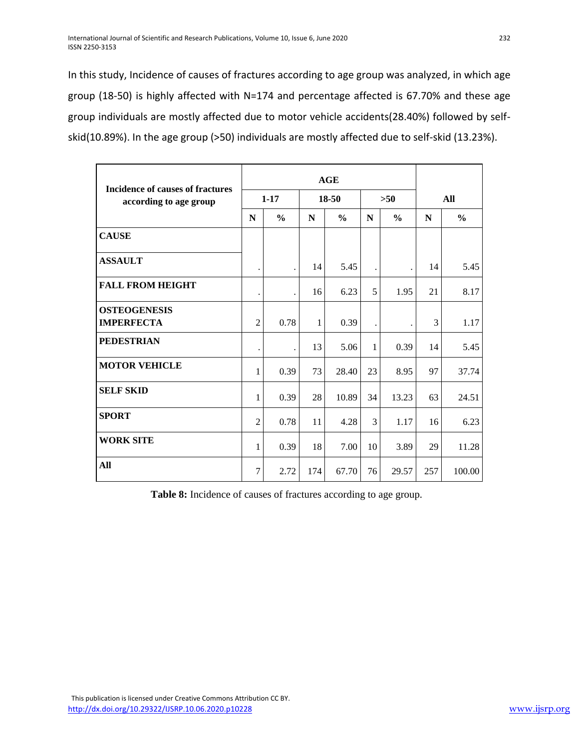In this study, Incidence of causes of fractures according to age group was analyzed, in which age group (18-50) is highly affected with N=174 and percentage affected is 67.70% and these age group individuals are mostly affected due to motor vehicle accidents(28.40%) followed by selfskid(10.89%). In the age group (>50) individuals are mostly affected due to self-skid (13.23%).

| Incidence of causes of fractures         |                |                      |              |               |                      |                      |     |               |
|------------------------------------------|----------------|----------------------|--------------|---------------|----------------------|----------------------|-----|---------------|
| according to age group                   |                | $1 - 17$             |              | 18-50         | $>50$                |                      | All |               |
|                                          | N              | $\frac{0}{0}$        | N            | $\frac{0}{0}$ | N                    | $\frac{0}{0}$        | N   | $\frac{6}{9}$ |
| <b>CAUSE</b>                             |                |                      |              |               |                      |                      |     |               |
| <b>ASSAULT</b>                           | $\bullet$      | $\ddot{\phantom{0}}$ | 14           | 5.45          | $\ddot{\phantom{0}}$ | $\ddot{\phantom{0}}$ | 14  | 5.45          |
| <b>FALL FROM HEIGHT</b>                  | $\bullet$      | $\ddot{\phantom{0}}$ | 16           | 6.23          | 5                    | 1.95                 | 21  | 8.17          |
| <b>OSTEOGENESIS</b><br><b>IMPERFECTA</b> | $\overline{2}$ | 0.78                 | $\mathbf{1}$ | 0.39          | $\ddot{\phantom{0}}$ |                      | 3   | 1.17          |
| <b>PEDESTRIAN</b>                        | $\bullet$      | $\ddot{\phantom{0}}$ | 13           | 5.06          | $\mathbf{1}$         | 0.39                 | 14  | 5.45          |
| <b>MOTOR VEHICLE</b>                     | 1              | 0.39                 | 73           | 28.40         | 23                   | 8.95                 | 97  | 37.74         |
| <b>SELF SKID</b>                         | 1              | 0.39                 | 28           | 10.89         | 34                   | 13.23                | 63  | 24.51         |
| <b>SPORT</b>                             | $\overline{2}$ | 0.78                 | 11           | 4.28          | 3                    | 1.17                 | 16  | 6.23          |
| <b>WORK SITE</b>                         | 1              | 0.39                 | 18           | 7.00          | 10                   | 3.89                 | 29  | 11.28         |
| All                                      | 7              | 2.72                 | 174          | 67.70         | 76                   | 29.57                | 257 | 100.00        |

**Table 8:** Incidence of causes of fractures according to age group.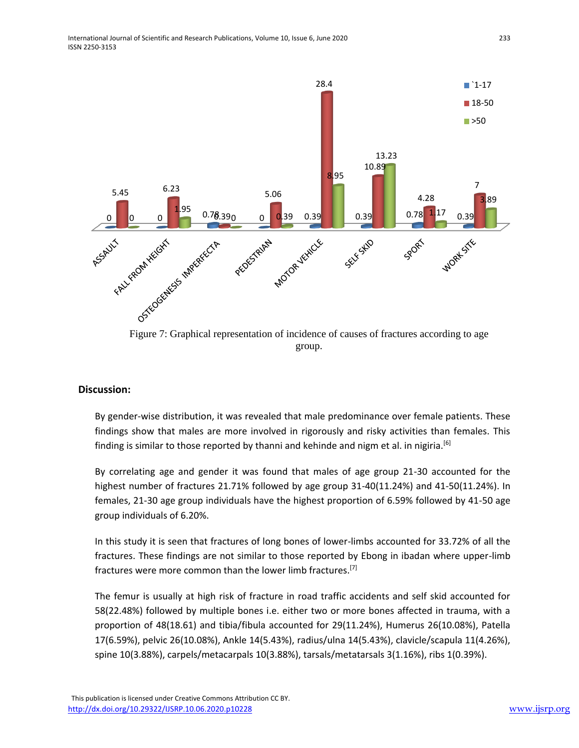

Figure 7: Graphical representation of incidence of causes of fractures according to age group.

## **Discussion:**

By gender-wise distribution, it was revealed that male predominance over female patients. These findings show that males are more involved in rigorously and risky activities than females. This finding is similar to those reported by thanni and kehinde and nigm et al. in nigiria.<sup>[6]</sup>

By correlating age and gender it was found that males of age group 21-30 accounted for the highest number of fractures 21.71% followed by age group 31-40(11.24%) and 41-50(11.24%). In females, 21-30 age group individuals have the highest proportion of 6.59% followed by 41-50 age group individuals of 6.20%.

In this study it is seen that fractures of long bones of lower-limbs accounted for 33.72% of all the fractures. These findings are not similar to those reported by Ebong in ibadan where upper-limb fractures were more common than the lower limb fractures.<sup>[7]</sup>

The femur is usually at high risk of fracture in road traffic accidents and self skid accounted for 58(22.48%) followed by multiple bones i.e. either two or more bones affected in trauma, with a proportion of 48(18.61) and tibia/fibula accounted for 29(11.24%), Humerus 26(10.08%), Patella 17(6.59%), pelvic 26(10.08%), Ankle 14(5.43%), radius/ulna 14(5.43%), clavicle/scapula 11(4.26%), spine 10(3.88%), carpels/metacarpals 10(3.88%), tarsals/metatarsals 3(1.16%), ribs 1(0.39%).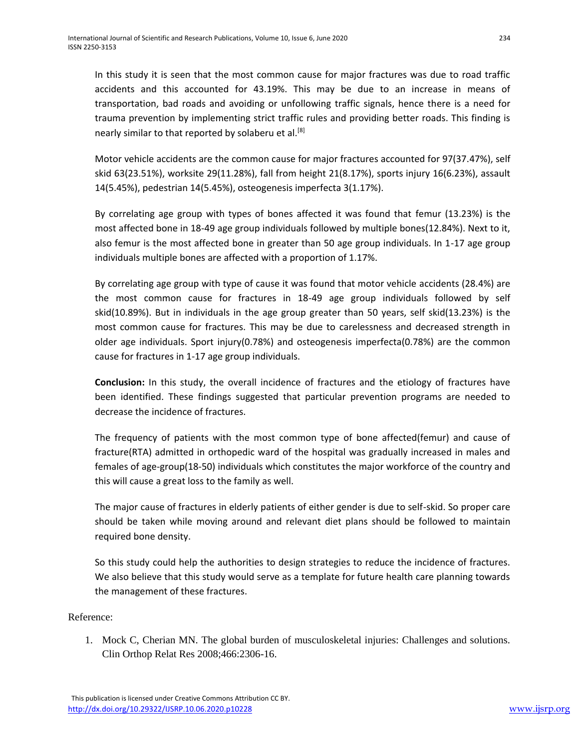In this study it is seen that the most common cause for major fractures was due to road traffic accidents and this accounted for 43.19%. This may be due to an increase in means of transportation, bad roads and avoiding or unfollowing traffic signals, hence there is a need for trauma prevention by implementing strict traffic rules and providing better roads. This finding is nearly similar to that reported by solaberu et al.<sup>[8]</sup>

Motor vehicle accidents are the common cause for major fractures accounted for 97(37.47%), self skid 63(23.51%), worksite 29(11.28%), fall from height 21(8.17%), sports injury 16(6.23%), assault 14(5.45%), pedestrian 14(5.45%), osteogenesis imperfecta 3(1.17%).

By correlating age group with types of bones affected it was found that femur (13.23%) is the most affected bone in 18-49 age group individuals followed by multiple bones(12.84%). Next to it, also femur is the most affected bone in greater than 50 age group individuals. In 1-17 age group individuals multiple bones are affected with a proportion of 1.17%.

By correlating age group with type of cause it was found that motor vehicle accidents (28.4%) are the most common cause for fractures in 18-49 age group individuals followed by self skid(10.89%). But in individuals in the age group greater than 50 years, self skid(13.23%) is the most common cause for fractures. This may be due to carelessness and decreased strength in older age individuals. Sport injury(0.78%) and osteogenesis imperfecta(0.78%) are the common cause for fractures in 1-17 age group individuals.

**Conclusion:** In this study, the overall incidence of fractures and the etiology of fractures have been identified. These findings suggested that particular prevention programs are needed to decrease the incidence of fractures.

The frequency of patients with the most common type of bone affected(femur) and cause of fracture(RTA) admitted in orthopedic ward of the hospital was gradually increased in males and females of age-group(18-50) individuals which constitutes the major workforce of the country and this will cause a great loss to the family as well.

The major cause of fractures in elderly patients of either gender is due to self-skid. So proper care should be taken while moving around and relevant diet plans should be followed to maintain required bone density.

So this study could help the authorities to design strategies to reduce the incidence of fractures. We also believe that this study would serve as a template for future health care planning towards the management of these fractures.

## Reference:

1. Mock C, Cherian MN. The global burden of musculoskeletal injuries: Challenges and solutions. Clin Orthop Relat Res 2008;466:2306-16.